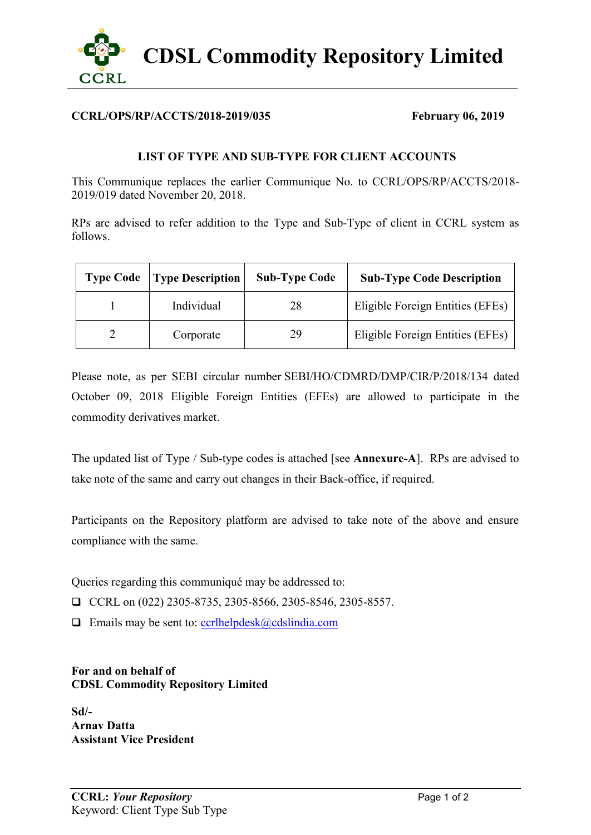

## **CCRL/OPS/RP/ACCTS/2018-2019/035 February 06, 2019**

## **LIST OF TYPE AND SUB-TYPE FOR CLIENT ACCOUNTS**

This Communique replaces the earlier Communique No. to CCRL/OPS/RP/ACCTS/2018- 2019/019 dated November 20, 2018.

RPs are advised to refer addition to the Type and Sub-Type of client in CCRL system as follows.

| <b>Type Code</b> | <b>Type Description</b> | <b>Sub-Type Code</b> | <b>Sub-Type Code Description</b> |
|------------------|-------------------------|----------------------|----------------------------------|
|                  | Individual              | 28                   | Eligible Foreign Entities (EFEs) |
|                  | Corporate               | 29                   | Eligible Foreign Entities (EFEs) |

Please note, as per SEBI circular number SEBI/HO/CDMRD/DMP/CIR/P/2018/134 dated October 09, 2018 Eligible Foreign Entities (EFEs) are allowed to participate in the commodity derivatives market.

The updated list of Type / Sub-type codes is attached [see **Annexure-A**]. RPs are advised to take note of the same and carry out changes in their Back-office, if required.

Participants on the Repository platform are advised to take note of the above and ensure compliance with the same.

Queries regarding this communiqué may be addressed to:

CCRL on  $(022)$  2305-8735, 2305-8566, 2305-8546, 2305-8557.

 $\Box$  Emails may be sent to: [ccrlhelpdesk@cdslindia.com](mailto:ccrlhelpdesk@cdslindia.com)

**For and on behalf of CDSL Commodity Repository Limited**

**Sd/- Arnav Datta Assistant Vice President**